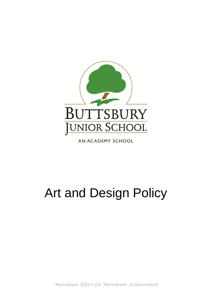

AN ACADEMY SCHOOL

# Art and Design Policy

*Maximum Effort for Maximum Achievement*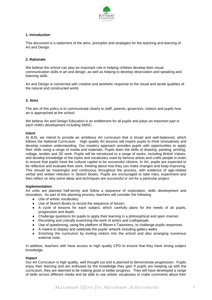

# **1. Introduction**

This document is a statement of the aims, principles and strategies for the teaching and learning of Art and Design.

# **2. Rationale**

We believe the school can play an important role in helping children develop their visual communication skills in art and design, as well as helping to develop observation and speaking and listening skills.

Art and Design is concerned with creative and aesthetic response to the visual and tactile qualities of the natural and constructed world.

## **3. Aims**

The aim of this policy is to communicate clearly to staff, parents, governors, visitors and pupils how art is approached at the school.

We believe Art and Design Education is an entitlement for all pupils and plays an important part in each child's development including SMSC.

#### **Intent**

At BJS, we intend to provide an ambitious Art curriculum that is broad and well-balanced, which follows the National Curriculum. High quality Art lessons will inspire pupils to think innovatively and develop creative understanding. Our mastery approach provides pupils with opportunities to apply their skills using a range of media and materials. Pupils learn the skills of drawing, painting, printing, collage, textiles and 3D work. Pupils will be introduced to a range of works, including British Values, and develop knowledge of the styles and vocabulary used by famous artists and crafts people in order to ensure that pupils have the cultural capital to be successful citizens. In Art, pupils are expected to be reflective and evaluate their work, thinking about how they can make changes and keep improving. This should be meaningful and continuous throughout the process, with evidence of age-related verbal and written refection in Sketch Books. Pupils are encouraged to take risks, experiment and then reflect on why some ideas and techniques are successful or not for a particular project.

#### **Implementation**

Art units are planned half-termly and follow a sequence of exploration, skills development and innovation. As part of this planning process, teachers will consider the following

- ◆ Use of artistic vocabulary:
- Use of Sketch Books to record the sequence of lesson;
- A cycle of lessons for each subject, which carefully plans for the needs of all pupils, progression and depth;
- Challenge questions for pupils to apply their learning in a philosophical and open manner;
- Recording and critically examining the work of artists and craftspeople.
- Use of questioning, using the platform of Bloom's Taxonomy, to challenge pupils responses.
- A means to display and celebrate the pupils' artwork including gallery walks.
- Enriching the curriculum by inviting visitors into the school and also arranging numerous external visits.

In addition, teachers with have access to high quality CPD to ensure that they have strong subject knowledge.

#### **Impact**

Our Art Curriculum is high quality, well thought out and is planned to demonstrate progression. Pupils enjoy their learning and are enthused by the knowledge they gain If pupils are keeping up with the curriculum, they are deemed to be making good or better progress. They will have developed a range of skills across different media and be able to use artistic vocabulary to make comments about their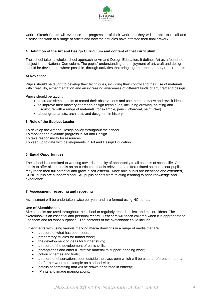

work. Sketch Books will evidence the progression of their work and they will be able to recall and discuss the work of a range of artists and how their studies have affected their final artwork.

# **4. Definition of the Art and Design Curriculum and content of that curriculum.**

The school takes a whole school approach to Art and Design Education. It defines Art as a foundation subject in the National Curriculum. The pupils' understanding and enjoyment of art, craft and design should be developed, where possible, through activities that bring together the statutory requirements.

At Key Stage 2,

Pupils should be taught to develop their techniques, including their control and their use of materials, with creativity, experimentation and an increasing awareness of different kinds of art, craft and design.

Pupils should be taught:

- to create sketch books to record their observations and use them to review and revisit ideas
- to improve their mastery of art and design techniques, including drawing, painting and sculpture with a range of materials [for example, pencil, charcoal, paint, clay]
- about great artists, architects and designers in history.

## **5. Role of the Subject Leader**

To develop the Art and Design policy throughout the school.

- To monitor and evaluate progress in Art and Design.
- To take responsibility for resources.
- To keep up to date with developments in Art and Design Education.

#### **6. Equal Opportunities**

The school is committed to working towards equality of opportunity to all aspects of school life. Our aim is to offer all our pupils an art curriculum that is relevant and differentiated so that all our pupils may reach their full potential and grow in self-esteem. More able pupils are identified and extended, SEND pupils are supported and EAL pupils benefit from relating learning to prior knowledge and experience.

#### **7. Assessment, recording and reporting**

Assessment will be undertaken twice per year and are formed using NC bands.

#### **Use of Sketchbooks**

Sketchbooks are used throughout the school to regularly record, collect and explore ideas. The sketchbook is an essential and personal record. Teachers will teach children when it is appropriate to use them and for what purposes. The contents of the sketchbook could include:

Experiments with using various marking media drawings in a range of media that are:

- a record of what has been seen:
- preparatory studies for further work:
- the development of ideas for further study;
- a record of the development of basic skills;
- photographs and other illustrative material to support ongoing work;
- colour schemes and trials;
- a record of observations seen outside the classroom which will be used a reference material for further work, for example on a school visit;
- details of something that will be drawn or painted in entirety;
- Prints and image manipulations.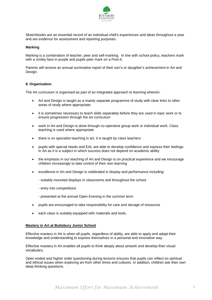

Sketchbooks are an essential record of an individual child's experiences and ideas throughout a year and are evidence for assessment and reporting purposes.

## **Marking**

Marking is a combination of teacher, peer and self-marking. In line with school policy, teachers mark with a smiley face in purple and pupils peer mark on a Post-It.

Parents will receive an annual summative report of their son's or daughter's achievement in Art and Design.

## **8. Organisation**

The Art curriculum is organised as part of an integrated approach to learning wherein:

- Art and Design is taught as a mainly separate programme of study with clear links to other areas of study where appropriate.
- it is sometimes necessary to teach skills separately before they are used in topic work or to ensure progression through the art curriculum
- work in Art and Design is done through co-operative group work or individual work. Class teaching is used where appropriate
- there is no specialist teaching in art, it is taught by class teachers
- pupils with special needs and EAL are able to develop confidence and express their feelings in Art as it is a subject in which success does not depend on academic ability
- the emphasis in our teaching of Art and Design is on practical experience and we encourage children increasingly to take control of their own learning
- excellence in Art and Design is celebrated in display and performance including:
	- suitably mounted displays in classrooms and throughout the school
	- entry into competitions
	- presented at the annual Open Evening in the summer term
- pupils are encouraged to take responsibility for care and storage of resources
- each class is suitably equipped with materials and tools.

#### **Mastery in Art at Buttsbury Junior School**

Effective mastery in Art is when all pupils, regardless of ability, are able to apply and adapt their knowledge and understanding to express themselves in a personal and innovative way.

Effective mastery in Art enables all pupils to think deeply about artwork and develop their visual vocabulary.

Open ended and higher order questioning during lessons ensures that pupils can reflect on spiritual and ethical issues when exploring art from other times and cultures. In addition, children ask their own deep thinking questions.